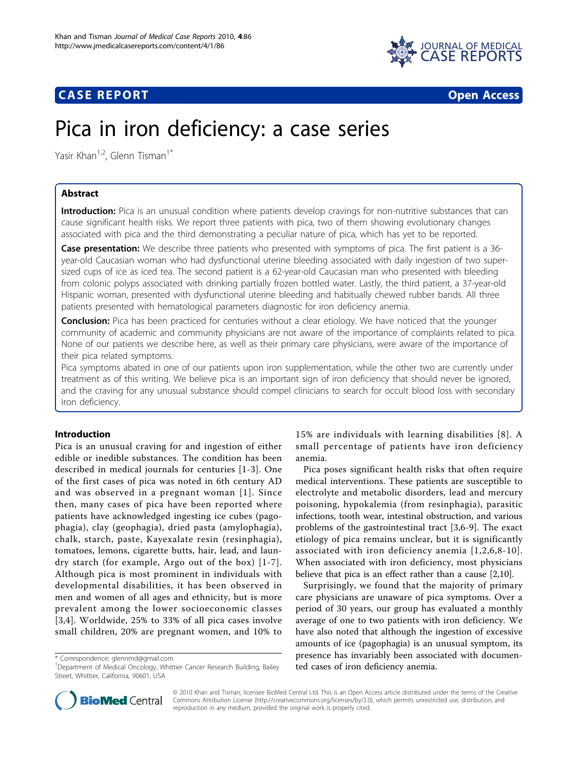

# **CASE REPORT CASE REPORT CASE REPORT**

# Pica in iron deficiency: a case series

Yasir Khan<sup>1,2</sup>, Glenn Tisman<sup>1\*</sup>

# Abstract

Introduction: Pica is an unusual condition where patients develop cravings for non-nutritive substances that can cause significant health risks. We report three patients with pica, two of them showing evolutionary changes associated with pica and the third demonstrating a peculiar nature of pica, which has yet to be reported.

Case presentation: We describe three patients who presented with symptoms of pica. The first patient is a 36year-old Caucasian woman who had dysfunctional uterine bleeding associated with daily ingestion of two supersized cups of ice as iced tea. The second patient is a 62-year-old Caucasian man who presented with bleeding from colonic polyps associated with drinking partially frozen bottled water. Lastly, the third patient, a 37-year-old Hispanic woman, presented with dysfunctional uterine bleeding and habitually chewed rubber bands. All three patients presented with hematological parameters diagnostic for iron deficiency anemia.

**Conclusion:** Pica has been practiced for centuries without a clear etiology. We have noticed that the younger community of academic and community physicians are not aware of the importance of complaints related to pica. None of our patients we describe here, as well as their primary care physicians, were aware of the importance of their pica related symptoms.

Pica symptoms abated in one of our patients upon iron supplementation, while the other two are currently under treatment as of this writing. We believe pica is an important sign of iron deficiency that should never be ignored, and the craving for any unusual substance should compel clinicians to search for occult blood loss with secondary iron deficiency.

# Introduction

Pica is an unusual craving for and ingestion of either edible or inedible substances. The condition has been described in medical journals for centuries [\[1-3](#page-2-0)]. One of the first cases of pica was noted in 6th century AD and was observed in a pregnant woman [[1](#page-2-0)]. Since then, many cases of pica have been reported where patients have acknowledged ingesting ice cubes (pagophagia), clay (geophagia), dried pasta (amylophagia), chalk, starch, paste, Kayexalate resin (resinphagia), tomatoes, lemons, cigarette butts, hair, lead, and laundry starch (for example, Argo out of the box) [[1-7\]](#page-2-0). Although pica is most prominent in individuals with developmental disabilities, it has been observed in men and women of all ages and ethnicity, but is more prevalent among the lower socioeconomic classes [[3](#page-2-0),[4\]](#page-2-0). Worldwide, 25% to 33% of all pica cases involve small children, 20% are pregnant women, and 10% to

15% are individuals with learning disabilities [[8\]](#page-2-0). A small percentage of patients have iron deficiency anemia.

Pica poses significant health risks that often require medical interventions. These patients are susceptible to electrolyte and metabolic disorders, lead and mercury poisoning, hypokalemia (from resinphagia), parasitic infections, tooth wear, intestinal obstruction, and various problems of the gastrointestinal tract [[3,6-9](#page-2-0)]. The exact etiology of pica remains unclear, but it is significantly associated with iron deficiency anemia [[1](#page-2-0),[2](#page-2-0),[6](#page-2-0),[8](#page-2-0)-[10\]](#page-2-0). When associated with iron deficiency, most physicians believe that pica is an effect rather than a cause [[2,10\]](#page-2-0).

Surprisingly, we found that the majority of primary care physicians are unaware of pica symptoms. Over a period of 30 years, our group has evaluated a monthly average of one to two patients with iron deficiency. We have also noted that although the ingestion of excessive amounts of ice (pagophagia) is an unusual symptom, its presence has invariably been associated with documented cases of iron deficiency anemia.



© 2010 Khan and Tisman; licensee BioMed Central Ltd. This is an Open Access article distributed under the terms of the Creative Commons Attribution License [\(http://creativecommons.org/licenses/by/2.0](http://creativecommons.org/licenses/by/2.0)), which permits unrestricted use, distribution, and reproduction in any medium, provided the original work is properly cited.

<sup>\*</sup> Correspondence: [glennmd@gmail.com](mailto:glennmd@gmail.com)

<sup>&</sup>lt;sup>1</sup>Department of Medical Oncology, Whittier Cancer Research Building, Bailey Street, Whittier, California, 90601, USA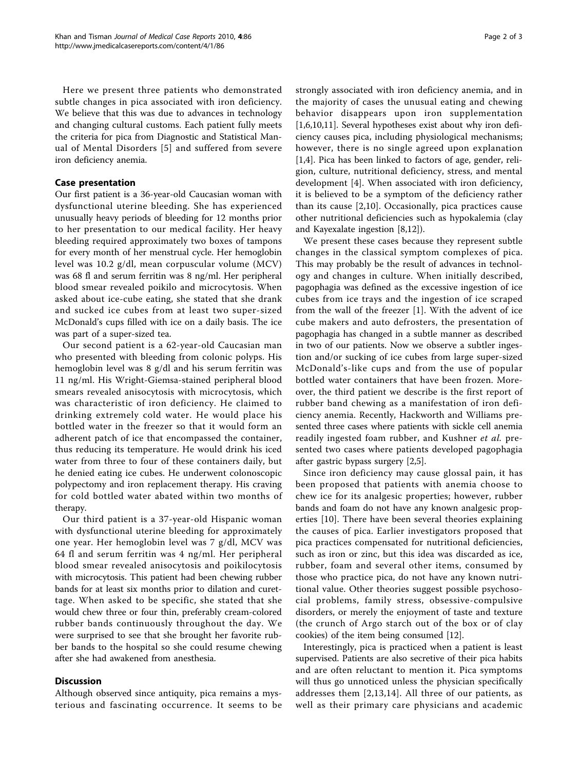Here we present three patients who demonstrated subtle changes in pica associated with iron deficiency. We believe that this was due to advances in technology and changing cultural customs. Each patient fully meets the criteria for pica from Diagnostic and Statistical Manual of Mental Disorders [[5](#page-2-0)] and suffered from severe iron deficiency anemia.

#### Case presentation

Our first patient is a 36-year-old Caucasian woman with dysfunctional uterine bleeding. She has experienced unusually heavy periods of bleeding for 12 months prior to her presentation to our medical facility. Her heavy bleeding required approximately two boxes of tampons for every month of her menstrual cycle. Her hemoglobin level was 10.2 g/dl, mean corpuscular volume (MCV) was 68 fl and serum ferritin was 8 ng/ml. Her peripheral blood smear revealed poikilo and microcytosis. When asked about ice-cube eating, she stated that she drank and sucked ice cubes from at least two super-sized McDonald's cups filled with ice on a daily basis. The ice was part of a super-sized tea.

Our second patient is a 62-year-old Caucasian man who presented with bleeding from colonic polyps. His hemoglobin level was 8 g/dl and his serum ferritin was 11 ng/ml. His Wright-Giemsa-stained peripheral blood smears revealed anisocytosis with microcytosis, which was characteristic of iron deficiency. He claimed to drinking extremely cold water. He would place his bottled water in the freezer so that it would form an adherent patch of ice that encompassed the container, thus reducing its temperature. He would drink his iced water from three to four of these containers daily, but he denied eating ice cubes. He underwent colonoscopic polypectomy and iron replacement therapy. His craving for cold bottled water abated within two months of therapy.

Our third patient is a 37-year-old Hispanic woman with dysfunctional uterine bleeding for approximately one year. Her hemoglobin level was 7 g/dl, MCV was 64 fl and serum ferritin was 4 ng/ml. Her peripheral blood smear revealed anisocytosis and poikilocytosis with microcytosis. This patient had been chewing rubber bands for at least six months prior to dilation and curettage. When asked to be specific, she stated that she would chew three or four thin, preferably cream-colored rubber bands continuously throughout the day. We were surprised to see that she brought her favorite rubber bands to the hospital so she could resume chewing after she had awakened from anesthesia.

#### **Discussion**

Although observed since antiquity, pica remains a mysterious and fascinating occurrence. It seems to be strongly associated with iron deficiency anemia, and in the majority of cases the unusual eating and chewing behavior disappears upon iron supplementation [[1,6,10,11\]](#page-2-0). Several hypotheses exist about why iron deficiency causes pica, including physiological mechanisms; however, there is no single agreed upon explanation [[1,4\]](#page-2-0). Pica has been linked to factors of age, gender, religion, culture, nutritional deficiency, stress, and mental development [[4\]](#page-2-0). When associated with iron deficiency, it is believed to be a symptom of the deficiency rather than its cause [[2,10](#page-2-0)]. Occasionally, pica practices cause other nutritional deficiencies such as hypokalemia (clay and Kayexalate ingestion [[8,12\]](#page-2-0)).

We present these cases because they represent subtle changes in the classical symptom complexes of pica. This may probably be the result of advances in technology and changes in culture. When initially described, pagophagia was defined as the excessive ingestion of ice cubes from ice trays and the ingestion of ice scraped from the wall of the freezer [[1\]](#page-2-0). With the advent of ice cube makers and auto defrosters, the presentation of pagophagia has changed in a subtle manner as described in two of our patients. Now we observe a subtler ingestion and/or sucking of ice cubes from large super-sized McDonald's-like cups and from the use of popular bottled water containers that have been frozen. Moreover, the third patient we describe is the first report of rubber band chewing as a manifestation of iron deficiency anemia. Recently, Hackworth and Williams presented three cases where patients with sickle cell anemia readily ingested foam rubber, and Kushner et al. presented two cases where patients developed pagophagia after gastric bypass surgery [\[2,5](#page-2-0)].

Since iron deficiency may cause glossal pain, it has been proposed that patients with anemia choose to chew ice for its analgesic properties; however, rubber bands and foam do not have any known analgesic properties [[10](#page-2-0)]. There have been several theories explaining the causes of pica. Earlier investigators proposed that pica practices compensated for nutritional deficiencies, such as iron or zinc, but this idea was discarded as ice, rubber, foam and several other items, consumed by those who practice pica, do not have any known nutritional value. Other theories suggest possible psychosocial problems, family stress, obsessive-compulsive disorders, or merely the enjoyment of taste and texture (the crunch of Argo starch out of the box or of clay cookies) of the item being consumed [\[12](#page-2-0)].

Interestingly, pica is practiced when a patient is least supervised. Patients are also secretive of their pica habits and are often reluctant to mention it. Pica symptoms will thus go unnoticed unless the physician specifically addresses them [[2](#page-2-0),[13,14\]](#page-2-0). All three of our patients, as well as their primary care physicians and academic